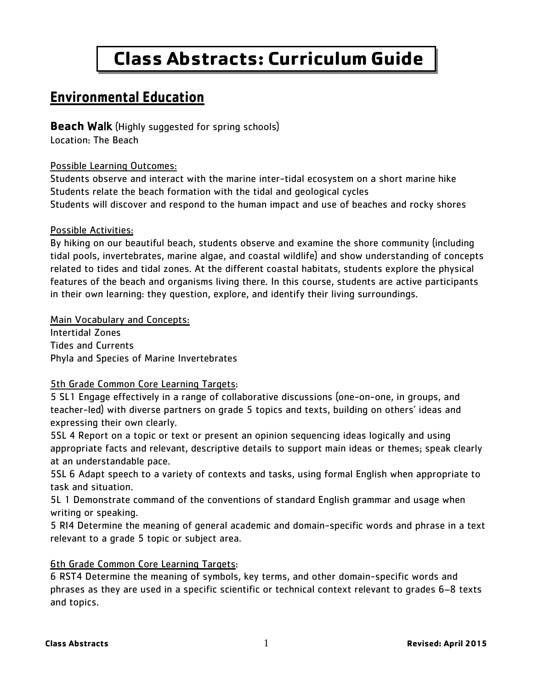# **Class Abstracts: Curriculum Guide**

# **Environmental Education**

# **Beach** Walk (Highly suggested for spring schools)

Location: The Beach

## Possible Learning Outcomes:

Students observe and interact with the marine inter-tidal ecosystem on a short marine hike Students relate the beach formation with the tidal and geological cycles Students will discover and respond to the human impact and use of beaches and rocky shores

## Possible Activities:

By hiking on our beautiful beach, students observe and examine the shore community (including tidal pools, invertebrates, marine algae, and coastal wildlife) and show understanding of concepts related to tides and tidal zones. At the different coastal habitats, students explore the physical features of the beach and organisms living there. In this course, students are active participants in their own learning: they question, explore, and identify their living surroundings.

Main Vocabulary and Concepts: Intertidal Zones Tides and Currents Phyla and Species of Marine Invertebrates

## 5th Grade Common Core Learning Targets:

5 SL1 Engage effectively in a range of collaborative discussions (one-on-one, in groups, and teacher-led) with diverse partners on grade 5 topics and texts, building on others' ideas and expressing their own clearly.

5SL 4 Report on a topic or text or present an opinion sequencing ideas logically and using appropriate facts and relevant, descriptive details to support main ideas or themes; speak clearly at an understandable pace.

5SL 6 Adapt speech to a variety of contexts and tasks, using formal English when appropriate to task and situation.

5L 1 Demonstrate command of the conventions of standard English grammar and usage when writing or speaking.

5 RI4 Determine the meaning of general academic and domain-specific words and phrase in a text relevant to a grade 5 topic or subject area.

## 6th Grade Common Core Learning Targets:

6 RST4 Determine the meaning of symbols, key terms, and other domain-specific words and phrases as they are used in a specific scientific or technical context relevant to grades 6–8 texts and topics.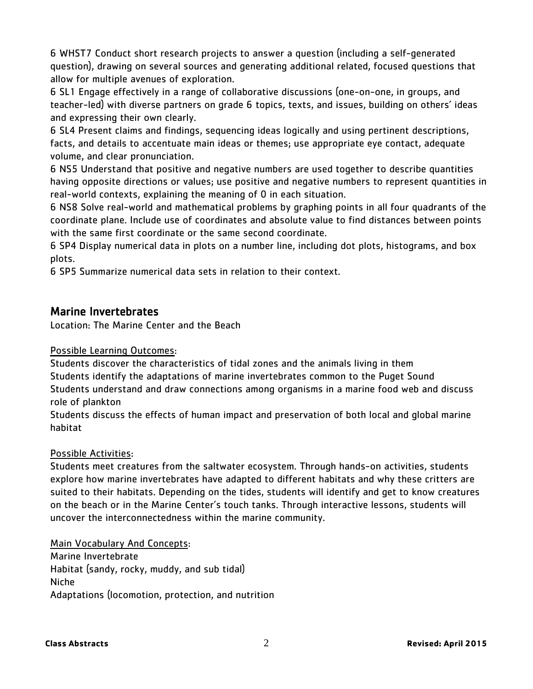6 WHST7 Conduct short research projects to answer a question (including a self-generated question), drawing on several sources and generating additional related, focused questions that allow for multiple avenues of exploration.

6 SL1 Engage effectively in a range of collaborative discussions (one-on-one, in groups, and teacher-led) with diverse partners on grade 6 topics, texts, and issues, building on others' ideas and expressing their own clearly.

6 SL4 Present claims and findings, sequencing ideas logically and using pertinent descriptions, facts, and details to accentuate main ideas or themes; use appropriate eye contact, adequate volume, and clear pronunciation.

6 NS5 Understand that positive and negative numbers are used together to describe quantities having opposite directions or values; use positive and negative numbers to represent quantities in real-world contexts, explaining the meaning of 0 in each situation.

6 NS8 Solve real-world and mathematical problems by graphing points in all four quadrants of the coordinate plane. Include use of coordinates and absolute value to find distances between points with the same first coordinate or the same second coordinate.

6 SP4 Display numerical data in plots on a number line, including dot plots, histograms, and box plots.

6 SP5 Summarize numerical data sets in relation to their context.

## Marine Invertebrates

Location: The Marine Center and the Beach

## Possible Learning Outcomes:

Students discover the characteristics of tidal zones and the animals living in them Students identify the adaptations of marine invertebrates common to the Puget Sound Students understand and draw connections among organisms in a marine food web and discuss role of plankton

Students discuss the effects of human impact and preservation of both local and global marine habitat

## Possible Activities:

Students meet creatures from the saltwater ecosystem. Through hands-on activities, students explore how marine invertebrates have adapted to different habitats and why these critters are suited to their habitats. Depending on the tides, students will identify and get to know creatures on the beach or in the Marine Center's touch tanks. Through interactive lessons, students will uncover the interconnectedness within the marine community.

Main Vocabulary And Concepts: Marine Invertebrate Habitat (sandy, rocky, muddy, and sub tidal) Niche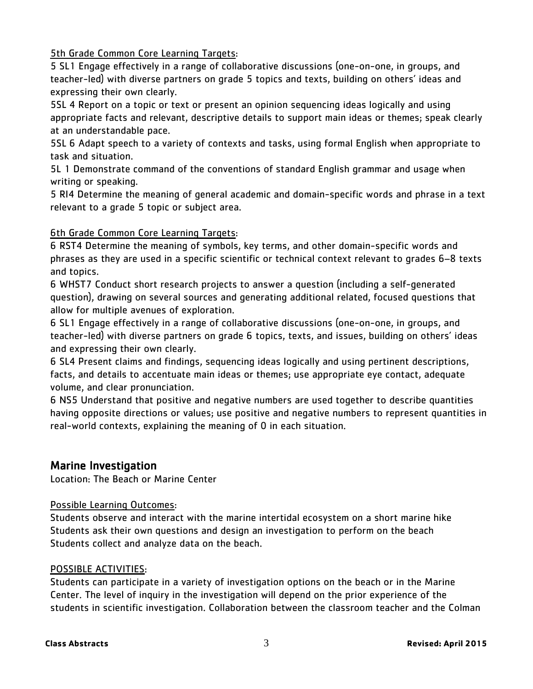5th Grade Common Core Learning Targets:

5 SL1 Engage effectively in a range of collaborative discussions (one-on-one, in groups, and teacher-led) with diverse partners on grade 5 topics and texts, building on others' ideas and expressing their own clearly.

5SL 4 Report on a topic or text or present an opinion sequencing ideas logically and using appropriate facts and relevant, descriptive details to support main ideas or themes; speak clearly at an understandable pace.

5SL 6 Adapt speech to a variety of contexts and tasks, using formal English when appropriate to task and situation.

5L 1 Demonstrate command of the conventions of standard English grammar and usage when writing or speaking.

5 RI4 Determine the meaning of general academic and domain-specific words and phrase in a text relevant to a grade 5 topic or subject area.

## 6th Grade Common Core Learning Targets:

6 RST4 Determine the meaning of symbols, key terms, and other domain-specific words and phrases as they are used in a specific scientific or technical context relevant to grades 6–8 texts and topics.

6 WHST7 Conduct short research projects to answer a question (including a self-generated question), drawing on several sources and generating additional related, focused questions that allow for multiple avenues of exploration.

6 SL1 Engage effectively in a range of collaborative discussions (one-on-one, in groups, and teacher-led) with diverse partners on grade 6 topics, texts, and issues, building on others' ideas and expressing their own clearly.

6 SL4 Present claims and findings, sequencing ideas logically and using pertinent descriptions, facts, and details to accentuate main ideas or themes; use appropriate eye contact, adequate volume, and clear pronunciation.

6 NS5 Understand that positive and negative numbers are used together to describe quantities having opposite directions or values; use positive and negative numbers to represent quantities in real-world contexts, explaining the meaning of 0 in each situation.

## Marine Investigation

Location: The Beach or Marine Center

## Possible Learning Outcomes:

Students observe and interact with the marine intertidal ecosystem on a short marine hike Students ask their own questions and design an investigation to perform on the beach Students collect and analyze data on the beach.

## POSSIBLE ACTIVITIES:

Students can participate in a variety of investigation options on the beach or in the Marine Center. The level of inquiry in the investigation will depend on the prior experience of the students in scientific investigation. Collaboration between the classroom teacher and the Colman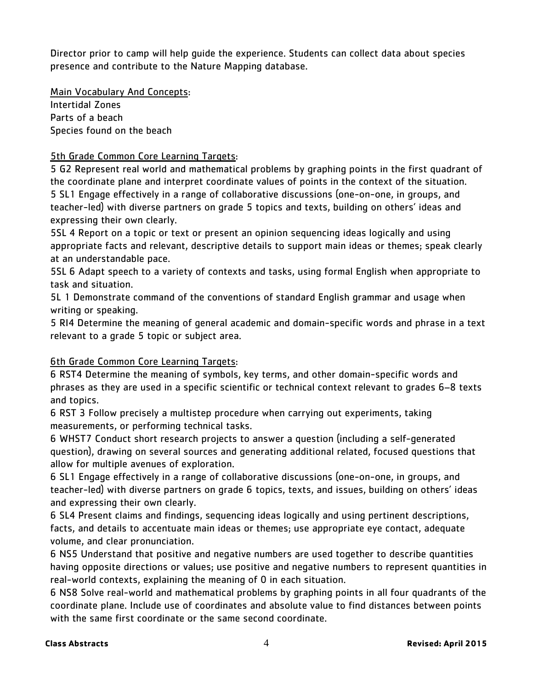Director prior to camp will help guide the experience. Students can collect data about species presence and contribute to the Nature Mapping database.

Main Vocabulary And Concepts: Intertidal Zones Parts of a beach Species found on the beach

## 5th Grade Common Core Learning Targets:

5 G2 Represent real world and mathematical problems by graphing points in the first quadrant of the coordinate plane and interpret coordinate values of points in the context of the situation. 5 SL1 Engage effectively in a range of collaborative discussions (one-on-one, in groups, and teacher-led) with diverse partners on grade 5 topics and texts, building on others' ideas and expressing their own clearly.

5SL 4 Report on a topic or text or present an opinion sequencing ideas logically and using appropriate facts and relevant, descriptive details to support main ideas or themes; speak clearly at an understandable pace.

5SL 6 Adapt speech to a variety of contexts and tasks, using formal English when appropriate to task and situation.

5L 1 Demonstrate command of the conventions of standard English grammar and usage when writing or speaking.

5 RI4 Determine the meaning of general academic and domain-specific words and phrase in a text relevant to a grade 5 topic or subject area.

## 6th Grade Common Core Learning Targets:

6 RST4 Determine the meaning of symbols, key terms, and other domain-specific words and phrases as they are used in a specific scientific or technical context relevant to grades 6–8 texts and topics.

6 RST 3 Follow precisely a multistep procedure when carrying out experiments, taking measurements, or performing technical tasks.

6 WHST7 Conduct short research projects to answer a question (including a self-generated question), drawing on several sources and generating additional related, focused questions that allow for multiple avenues of exploration.

6 SL1 Engage effectively in a range of collaborative discussions (one-on-one, in groups, and teacher-led) with diverse partners on grade 6 topics, texts, and issues, building on others' ideas and expressing their own clearly.

6 SL4 Present claims and findings, sequencing ideas logically and using pertinent descriptions, facts, and details to accentuate main ideas or themes; use appropriate eye contact, adequate volume, and clear pronunciation.

6 NS5 Understand that positive and negative numbers are used together to describe quantities having opposite directions or values; use positive and negative numbers to represent quantities in real-world contexts, explaining the meaning of 0 in each situation.

6 NS8 Solve real-world and mathematical problems by graphing points in all four quadrants of the coordinate plane. Include use of coordinates and absolute value to find distances between points with the same first coordinate or the same second coordinate.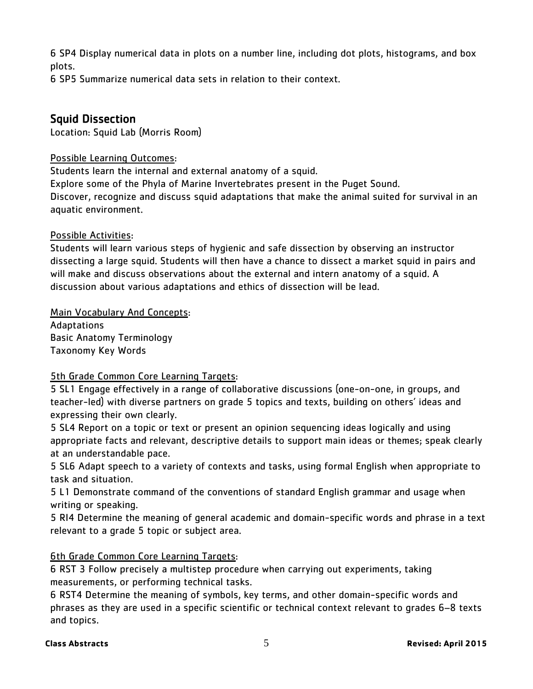6 SP4 Display numerical data in plots on a number line, including dot plots, histograms, and box plots.

6 SP5 Summarize numerical data sets in relation to their context.

## Squid Dissection

Location: Squid Lab (Morris Room)

## Possible Learning Outcomes:

Students learn the internal and external anatomy of a squid.

Explore some of the Phyla of Marine Invertebrates present in the Puget Sound. Discover, recognize and discuss squid adaptations that make the animal suited for survival in an aquatic environment.

## Possible Activities:

Students will learn various steps of hygienic and safe dissection by observing an instructor dissecting a large squid. Students will then have a chance to dissect a market squid in pairs and will make and discuss observations about the external and intern anatomy of a squid. A discussion about various adaptations and ethics of dissection will be lead.

## Main Vocabulary And Concepts:

Adaptations Basic Anatomy Terminology Taxonomy Key Words

## 5th Grade Common Core Learning Targets:

5 SL1 Engage effectively in a range of collaborative discussions (one-on-one, in groups, and teacher-led) with diverse partners on grade 5 topics and texts, building on others' ideas and expressing their own clearly.

5 SL4 Report on a topic or text or present an opinion sequencing ideas logically and using appropriate facts and relevant, descriptive details to support main ideas or themes; speak clearly at an understandable pace.

5 SL6 Adapt speech to a variety of contexts and tasks, using formal English when appropriate to task and situation.

5 L1 Demonstrate command of the conventions of standard English grammar and usage when writing or speaking.

5 RI4 Determine the meaning of general academic and domain-specific words and phrase in a text relevant to a grade 5 topic or subject area.

## 6th Grade Common Core Learning Targets:

6 RST 3 Follow precisely a multistep procedure when carrying out experiments, taking measurements, or performing technical tasks.

6 RST4 Determine the meaning of symbols, key terms, and other domain-specific words and phrases as they are used in a specific scientific or technical context relevant to grades 6–8 texts and topics.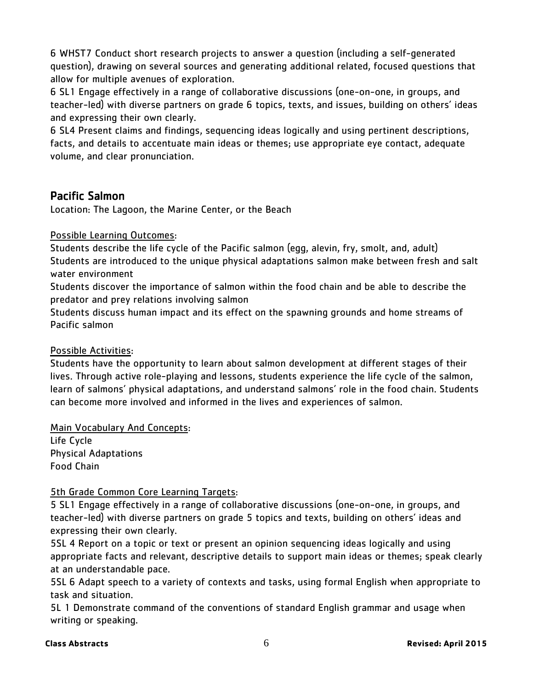6 WHST7 Conduct short research projects to answer a question (including a self-generated question), drawing on several sources and generating additional related, focused questions that allow for multiple avenues of exploration.

6 SL1 Engage effectively in a range of collaborative discussions (one-on-one, in groups, and teacher-led) with diverse partners on grade 6 topics, texts, and issues, building on others' ideas and expressing their own clearly.

6 SL4 Present claims and findings, sequencing ideas logically and using pertinent descriptions, facts, and details to accentuate main ideas or themes; use appropriate eye contact, adequate volume, and clear pronunciation.

## Pacific Salmon

Location: The Lagoon, the Marine Center, or the Beach

## Possible Learning Outcomes:

Students describe the life cycle of the Pacific salmon (egg, alevin, fry, smolt, and, adult) Students are introduced to the unique physical adaptations salmon make between fresh and salt water environment

Students discover the importance of salmon within the food chain and be able to describe the predator and prey relations involving salmon

Students discuss human impact and its effect on the spawning grounds and home streams of Pacific salmon

## Possible Activities:

Students have the opportunity to learn about salmon development at different stages of their lives. Through active role-playing and lessons, students experience the life cycle of the salmon, learn of salmons' physical adaptations, and understand salmons' role in the food chain. Students can become more involved and informed in the lives and experiences of salmon.

Main Vocabulary And Concepts: Life Cycle

Physical Adaptations Food Chain

## 5th Grade Common Core Learning Targets:

5 SL1 Engage effectively in a range of collaborative discussions (one-on-one, in groups, and teacher-led) with diverse partners on grade 5 topics and texts, building on others' ideas and expressing their own clearly.

5SL 4 Report on a topic or text or present an opinion sequencing ideas logically and using appropriate facts and relevant, descriptive details to support main ideas or themes; speak clearly at an understandable pace.

5SL 6 Adapt speech to a variety of contexts and tasks, using formal English when appropriate to task and situation.

5L 1 Demonstrate command of the conventions of standard English grammar and usage when writing or speaking.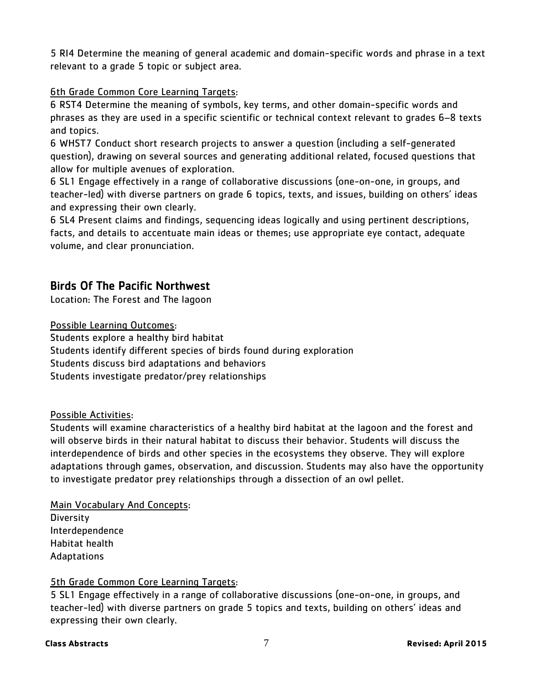5 RI4 Determine the meaning of general academic and domain-specific words and phrase in a text relevant to a grade 5 topic or subject area.

## 6th Grade Common Core Learning Targets:

6 RST4 Determine the meaning of symbols, key terms, and other domain-specific words and phrases as they are used in a specific scientific or technical context relevant to grades 6–8 texts and topics.

6 WHST7 Conduct short research projects to answer a question (including a self-generated question), drawing on several sources and generating additional related, focused questions that allow for multiple avenues of exploration.

6 SL1 Engage effectively in a range of collaborative discussions (one-on-one, in groups, and teacher-led) with diverse partners on grade 6 topics, texts, and issues, building on others' ideas and expressing their own clearly.

6 SL4 Present claims and findings, sequencing ideas logically and using pertinent descriptions, facts, and details to accentuate main ideas or themes; use appropriate eye contact, adequate volume, and clear pronunciation.

## Birds Of The Pacific Northwest

Location: The Forest and The lagoon

Possible Learning Outcomes:

Students explore a healthy bird habitat Students identify different species of birds found during exploration Students discuss bird adaptations and behaviors Students investigate predator/prey relationships

#### Possible Activities:

Students will examine characteristics of a healthy bird habitat at the lagoon and the forest and will observe birds in their natural habitat to discuss their behavior. Students will discuss the interdependence of birds and other species in the ecosystems they observe. They will explore adaptations through games, observation, and discussion. Students may also have the opportunity to investigate predator prey relationships through a dissection of an owl pellet.

Main Vocabulary And Concepts: **Diversity** Interdependence Habitat health Adaptations

## 5th Grade Common Core Learning Targets:

5 SL1 Engage effectively in a range of collaborative discussions (one-on-one, in groups, and teacher-led) with diverse partners on grade 5 topics and texts, building on others' ideas and expressing their own clearly.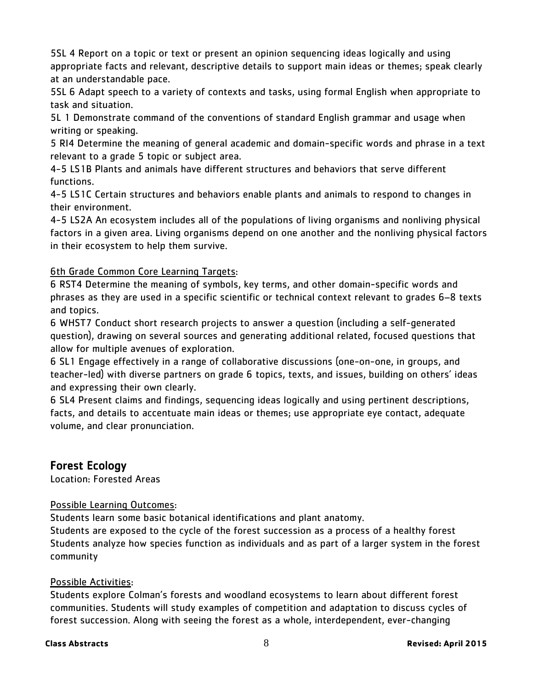5SL 4 Report on a topic or text or present an opinion sequencing ideas logically and using appropriate facts and relevant, descriptive details to support main ideas or themes; speak clearly at an understandable pace.

5SL 6 Adapt speech to a variety of contexts and tasks, using formal English when appropriate to task and situation.

5L 1 Demonstrate command of the conventions of standard English grammar and usage when writing or speaking.

5 RI4 Determine the meaning of general academic and domain-specific words and phrase in a text relevant to a grade 5 topic or subject area.

4-5 LS1B Plants and animals have different structures and behaviors that serve different functions.

4-5 LS1C Certain structures and behaviors enable plants and animals to respond to changes in their environment.

4-5 LS2A An ecosystem includes all of the populations of living organisms and nonliving physical factors in a given area. Living organisms depend on one another and the nonliving physical factors in their ecosystem to help them survive.

## 6th Grade Common Core Learning Targets:

6 RST4 Determine the meaning of symbols, key terms, and other domain-specific words and phrases as they are used in a specific scientific or technical context relevant to grades 6–8 texts and topics.

6 WHST7 Conduct short research projects to answer a question (including a self-generated question), drawing on several sources and generating additional related, focused questions that allow for multiple avenues of exploration.

6 SL1 Engage effectively in a range of collaborative discussions (one-on-one, in groups, and teacher-led) with diverse partners on grade 6 topics, texts, and issues, building on others' ideas and expressing their own clearly.

6 SL4 Present claims and findings, sequencing ideas logically and using pertinent descriptions, facts, and details to accentuate main ideas or themes; use appropriate eye contact, adequate volume, and clear pronunciation.

## Forest Ecology

Location: Forested Areas

## Possible Learning Outcomes:

Students learn some basic botanical identifications and plant anatomy.

Students are exposed to the cycle of the forest succession as a process of a healthy forest Students analyze how species function as individuals and as part of a larger system in the forest community

## Possible Activities:

Students explore Colman's forests and woodland ecosystems to learn about different forest communities. Students will study examples of competition and adaptation to discuss cycles of forest succession. Along with seeing the forest as a whole, interdependent, ever-changing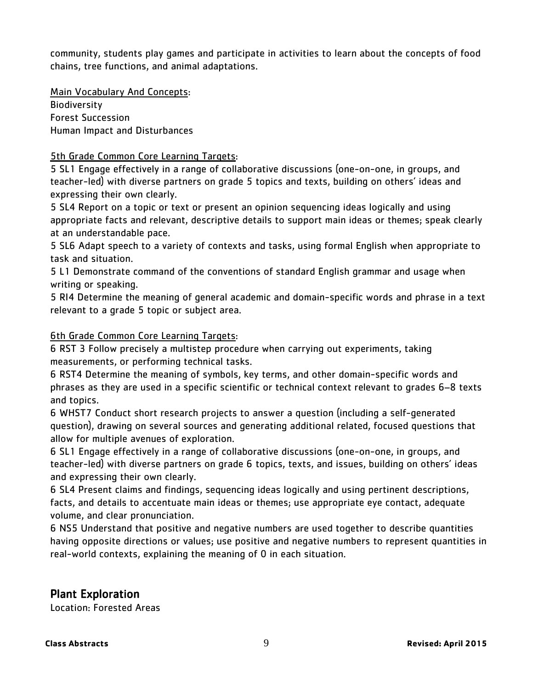community, students play games and participate in activities to learn about the concepts of food chains, tree functions, and animal adaptations.

Main Vocabulary And Concepts: **Biodiversity** Forest Succession Human Impact and Disturbances

## 5th Grade Common Core Learning Targets:

5 SL1 Engage effectively in a range of collaborative discussions (one-on-one, in groups, and teacher-led) with diverse partners on grade 5 topics and texts, building on others' ideas and expressing their own clearly.

5 SL4 Report on a topic or text or present an opinion sequencing ideas logically and using appropriate facts and relevant, descriptive details to support main ideas or themes; speak clearly at an understandable pace.

5 SL6 Adapt speech to a variety of contexts and tasks, using formal English when appropriate to task and situation.

5 L1 Demonstrate command of the conventions of standard English grammar and usage when writing or speaking.

5 RI4 Determine the meaning of general academic and domain-specific words and phrase in a text relevant to a grade 5 topic or subject area.

## 6th Grade Common Core Learning Targets:

6 RST 3 Follow precisely a multistep procedure when carrying out experiments, taking measurements, or performing technical tasks.

6 RST4 Determine the meaning of symbols, key terms, and other domain-specific words and phrases as they are used in a specific scientific or technical context relevant to grades 6–8 texts and topics.

6 WHST7 Conduct short research projects to answer a question (including a self-generated question), drawing on several sources and generating additional related, focused questions that allow for multiple avenues of exploration.

6 SL1 Engage effectively in a range of collaborative discussions (one-on-one, in groups, and teacher-led) with diverse partners on grade 6 topics, texts, and issues, building on others' ideas and expressing their own clearly.

6 SL4 Present claims and findings, sequencing ideas logically and using pertinent descriptions, facts, and details to accentuate main ideas or themes; use appropriate eye contact, adequate volume, and clear pronunciation.

6 NS5 Understand that positive and negative numbers are used together to describe quantities having opposite directions or values; use positive and negative numbers to represent quantities in real-world contexts, explaining the meaning of 0 in each situation.

## Plant Exploration

Location: Forested Areas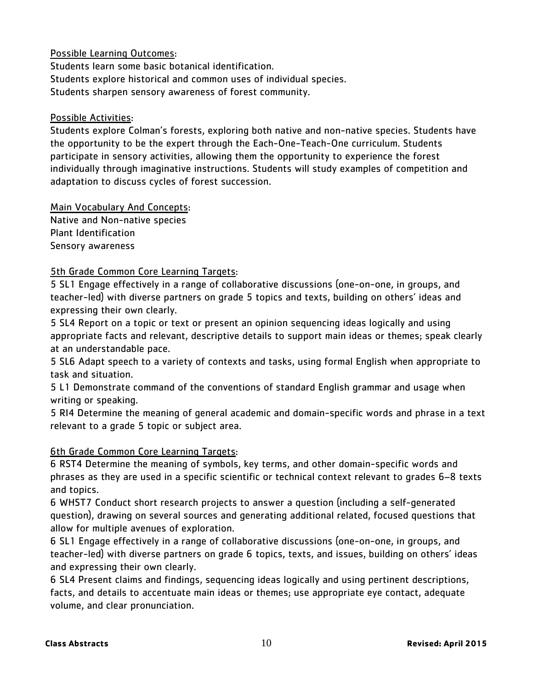Possible Learning Outcomes:

Students learn some basic botanical identification. Students explore historical and common uses of individual species. Students sharpen sensory awareness of forest community.

## Possible Activities:

Students explore Colman's forests, exploring both native and non-native species. Students have the opportunity to be the expert through the Each-One-Teach-One curriculum. Students participate in sensory activities, allowing them the opportunity to experience the forest individually through imaginative instructions. Students will study examples of competition and adaptation to discuss cycles of forest succession.

## Main Vocabulary And Concepts:

Native and Non-native species Plant Identification Sensory awareness

## 5th Grade Common Core Learning Targets:

5 SL1 Engage effectively in a range of collaborative discussions (one-on-one, in groups, and teacher-led) with diverse partners on grade 5 topics and texts, building on others' ideas and expressing their own clearly.

5 SL4 Report on a topic or text or present an opinion sequencing ideas logically and using appropriate facts and relevant, descriptive details to support main ideas or themes; speak clearly at an understandable pace.

5 SL6 Adapt speech to a variety of contexts and tasks, using formal English when appropriate to task and situation.

5 L1 Demonstrate command of the conventions of standard English grammar and usage when writing or speaking.

5 RI4 Determine the meaning of general academic and domain-specific words and phrase in a text relevant to a grade 5 topic or subject area.

## 6th Grade Common Core Learning Targets:

6 RST4 Determine the meaning of symbols, key terms, and other domain-specific words and phrases as they are used in a specific scientific or technical context relevant to grades 6–8 texts and topics.

6 WHST7 Conduct short research projects to answer a question (including a self-generated question), drawing on several sources and generating additional related, focused questions that allow for multiple avenues of exploration.

6 SL1 Engage effectively in a range of collaborative discussions (one-on-one, in groups, and teacher-led) with diverse partners on grade 6 topics, texts, and issues, building on others' ideas and expressing their own clearly.

6 SL4 Present claims and findings, sequencing ideas logically and using pertinent descriptions, facts, and details to accentuate main ideas or themes; use appropriate eye contact, adequate volume, and clear pronunciation.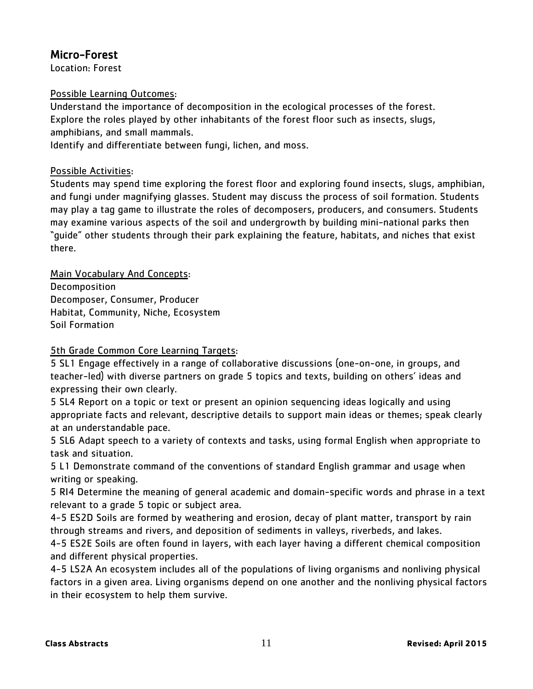## Micro-Forest

Location: Forest

## Possible Learning Outcomes:

Understand the importance of decomposition in the ecological processes of the forest. Explore the roles played by other inhabitants of the forest floor such as insects, slugs, amphibians, and small mammals.

Identify and differentiate between fungi, lichen, and moss.

#### Possible Activities:

Students may spend time exploring the forest floor and exploring found insects, slugs, amphibian, and fungi under magnifying glasses. Student may discuss the process of soil formation. Students may play a tag game to illustrate the roles of decomposers, producers, and consumers. Students may examine various aspects of the soil and undergrowth by building mini-national parks then "guide" other students through their park explaining the feature, habitats, and niches that exist there.

Main Vocabulary And Concepts: **Decomposition** Decomposer, Consumer, Producer Habitat, Community, Niche, Ecosystem Soil Formation

5th Grade Common Core Learning Targets:

5 SL1 Engage effectively in a range of collaborative discussions (one-on-one, in groups, and teacher-led) with diverse partners on grade 5 topics and texts, building on others' ideas and expressing their own clearly.

5 SL4 Report on a topic or text or present an opinion sequencing ideas logically and using appropriate facts and relevant, descriptive details to support main ideas or themes; speak clearly at an understandable pace.

5 SL6 Adapt speech to a variety of contexts and tasks, using formal English when appropriate to task and situation.

5 L1 Demonstrate command of the conventions of standard English grammar and usage when writing or speaking.

5 RI4 Determine the meaning of general academic and domain-specific words and phrase in a text relevant to a grade 5 topic or subject area.

4-5 ES2D Soils are formed by weathering and erosion, decay of plant matter, transport by rain through streams and rivers, and deposition of sediments in valleys, riverbeds, and lakes.

4-5 ES2E Soils are often found in layers, with each layer having a different chemical composition and different physical properties.

4-5 LS2A An ecosystem includes all of the populations of living organisms and nonliving physical factors in a given area. Living organisms depend on one another and the nonliving physical factors in their ecosystem to help them survive.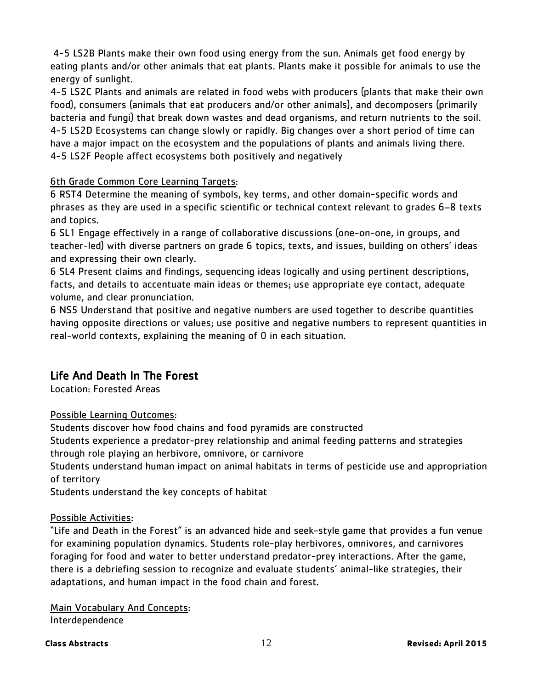4-5 LS2B Plants make their own food using energy from the sun. Animals get food energy by eating plants and/or other animals that eat plants. Plants make it possible for animals to use the energy of sunlight.

4-5 LS2C Plants and animals are related in food webs with producers (plants that make their own food), consumers (animals that eat producers and/or other animals), and decomposers (primarily bacteria and fungi) that break down wastes and dead organisms, and return nutrients to the soil. 4-5 LS2D Ecosystems can change slowly or rapidly. Big changes over a short period of time can have a major impact on the ecosystem and the populations of plants and animals living there. 4-5 LS2F People affect ecosystems both positively and negatively

## 6th Grade Common Core Learning Targets:

6 RST4 Determine the meaning of symbols, key terms, and other domain-specific words and phrases as they are used in a specific scientific or technical context relevant to grades 6–8 texts and topics.

6 SL1 Engage effectively in a range of collaborative discussions (one-on-one, in groups, and teacher-led) with diverse partners on grade 6 topics, texts, and issues, building on others' ideas and expressing their own clearly.

6 SL4 Present claims and findings, sequencing ideas logically and using pertinent descriptions, facts, and details to accentuate main ideas or themes; use appropriate eye contact, adequate volume, and clear pronunciation.

6 NS5 Understand that positive and negative numbers are used together to describe quantities having opposite directions or values; use positive and negative numbers to represent quantities in real-world contexts, explaining the meaning of 0 in each situation.

## Life And Death In The Forest

Location: Forested Areas

## Possible Learning Outcomes:

Students discover how food chains and food pyramids are constructed

Students experience a predator-prey relationship and animal feeding patterns and strategies through role playing an herbivore, omnivore, or carnivore

Students understand human impact on animal habitats in terms of pesticide use and appropriation of territory

Students understand the key concepts of habitat

#### Possible Activities:

"Life and Death in the Forest" is an advanced hide and seek-style game that provides a fun venue for examining population dynamics. Students role-play herbivores, omnivores, and carnivores foraging for food and water to better understand predator-prey interactions. After the game, there is a debriefing session to recognize and evaluate students' animal-like strategies, their adaptations, and human impact in the food chain and forest.

Main Vocabulary And Concepts: Interdependence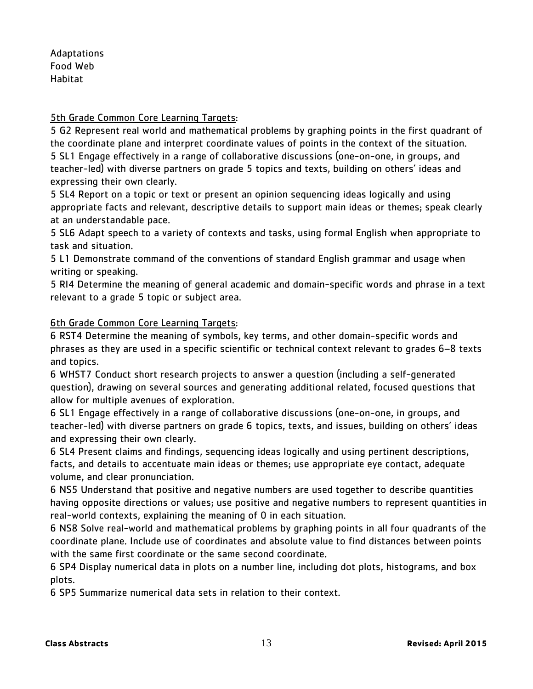Adaptations Food Web Habitat

## 5th Grade Common Core Learning Targets:

5 G2 Represent real world and mathematical problems by graphing points in the first quadrant of the coordinate plane and interpret coordinate values of points in the context of the situation. 5 SL1 Engage effectively in a range of collaborative discussions (one-on-one, in groups, and teacher-led) with diverse partners on grade 5 topics and texts, building on others' ideas and expressing their own clearly.

5 SL4 Report on a topic or text or present an opinion sequencing ideas logically and using appropriate facts and relevant, descriptive details to support main ideas or themes; speak clearly at an understandable pace.

5 SL6 Adapt speech to a variety of contexts and tasks, using formal English when appropriate to task and situation.

5 L1 Demonstrate command of the conventions of standard English grammar and usage when writing or speaking.

5 RI4 Determine the meaning of general academic and domain-specific words and phrase in a text relevant to a grade 5 topic or subject area.

## 6th Grade Common Core Learning Targets:

6 RST4 Determine the meaning of symbols, key terms, and other domain-specific words and phrases as they are used in a specific scientific or technical context relevant to grades 6–8 texts and topics.

6 WHST7 Conduct short research projects to answer a question (including a self-generated question), drawing on several sources and generating additional related, focused questions that allow for multiple avenues of exploration.

6 SL1 Engage effectively in a range of collaborative discussions (one-on-one, in groups, and teacher-led) with diverse partners on grade 6 topics, texts, and issues, building on others' ideas and expressing their own clearly.

6 SL4 Present claims and findings, sequencing ideas logically and using pertinent descriptions, facts, and details to accentuate main ideas or themes; use appropriate eye contact, adequate volume, and clear pronunciation.

6 NS5 Understand that positive and negative numbers are used together to describe quantities having opposite directions or values; use positive and negative numbers to represent quantities in real-world contexts, explaining the meaning of 0 in each situation.

6 NS8 Solve real-world and mathematical problems by graphing points in all four quadrants of the coordinate plane. Include use of coordinates and absolute value to find distances between points with the same first coordinate or the same second coordinate.

6 SP4 Display numerical data in plots on a number line, including dot plots, histograms, and box plots.

6 SP5 Summarize numerical data sets in relation to their context.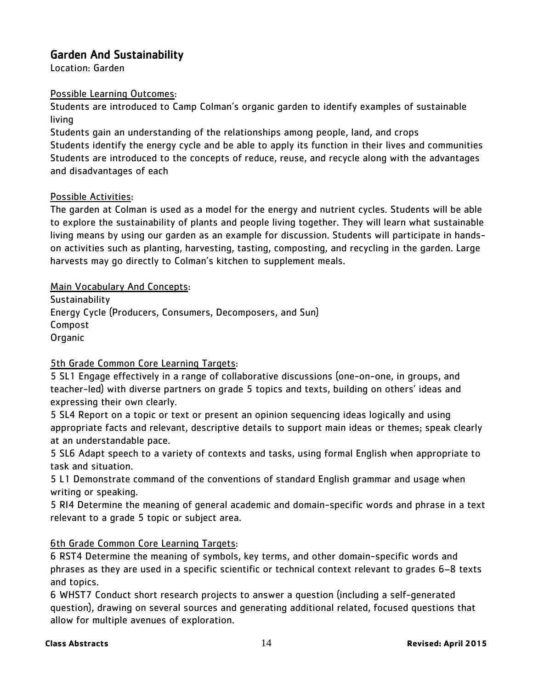## Garden And Sustainability

Location: Garden

## Possible Learning Outcomes:

Students are introduced to Camp Colman's organic garden to identify examples of sustainable living

Students gain an understanding of the relationships among people, land, and crops Students identify the energy cycle and be able to apply its function in their lives and communities Students are introduced to the concepts of reduce, reuse, and recycle along with the advantages and disadvantages of each

## Possible Activities:

The garden at Colman is used as a model for the energy and nutrient cycles. Students will be able to explore the sustainability of plants and people living together. They will learn what sustainable living means by using our garden as an example for discussion. Students will participate in handson activities such as planting, harvesting, tasting, composting, and recycling in the garden. Large harvests may go directly to Colman's kitchen to supplement meals.

## Main Vocabulary And Concepts:

**Sustainability** Energy Cycle (Producers, Consumers, Decomposers, and Sun) Compost Organic

## 5th Grade Common Core Learning Targets:

5 SL1 Engage effectively in a range of collaborative discussions (one-on-one, in groups, and teacher-led) with diverse partners on grade 5 topics and texts, building on others' ideas and expressing their own clearly.

5 SL4 Report on a topic or text or present an opinion sequencing ideas logically and using appropriate facts and relevant, descriptive details to support main ideas or themes; speak clearly at an understandable pace.

5 SL6 Adapt speech to a variety of contexts and tasks, using formal English when appropriate to task and situation.

5 L1 Demonstrate command of the conventions of standard English grammar and usage when writing or speaking.

5 RI4 Determine the meaning of general academic and domain-specific words and phrase in a text relevant to a grade 5 topic or subject area.

## 6th Grade Common Core Learning Targets:

6 RST4 Determine the meaning of symbols, key terms, and other domain-specific words and phrases as they are used in a specific scientific or technical context relevant to grades 6–8 texts and topics.

6 WHST7 Conduct short research projects to answer a question (including a self-generated question), drawing on several sources and generating additional related, focused questions that allow for multiple avenues of exploration.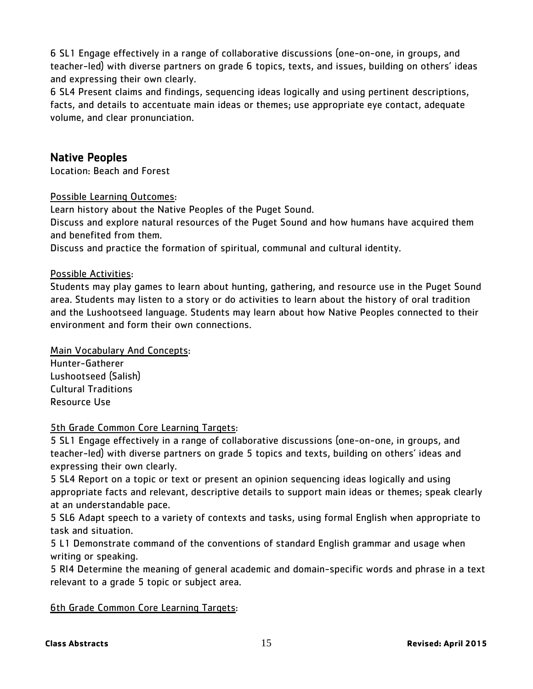6 SL1 Engage effectively in a range of collaborative discussions (one-on-one, in groups, and teacher-led) with diverse partners on grade 6 topics, texts, and issues, building on others' ideas and expressing their own clearly.

6 SL4 Present claims and findings, sequencing ideas logically and using pertinent descriptions, facts, and details to accentuate main ideas or themes; use appropriate eye contact, adequate volume, and clear pronunciation.

## Native Peoples

Location: Beach and Forest

Possible Learning Outcomes:

Learn history about the Native Peoples of the Puget Sound.

Discuss and explore natural resources of the Puget Sound and how humans have acquired them and benefited from them.

Discuss and practice the formation of spiritual, communal and cultural identity.

## Possible Activities:

Students may play games to learn about hunting, gathering, and resource use in the Puget Sound area. Students may listen to a story or do activities to learn about the history of oral tradition and the Lushootseed language. Students may learn about how Native Peoples connected to their environment and form their own connections.

#### Main Vocabulary And Concepts:

Hunter-Gatherer Lushootseed (Salish) Cultural Traditions Resource Use

## 5th Grade Common Core Learning Targets:

5 SL1 Engage effectively in a range of collaborative discussions (one-on-one, in groups, and teacher-led) with diverse partners on grade 5 topics and texts, building on others' ideas and expressing their own clearly.

5 SL4 Report on a topic or text or present an opinion sequencing ideas logically and using appropriate facts and relevant, descriptive details to support main ideas or themes; speak clearly at an understandable pace.

5 SL6 Adapt speech to a variety of contexts and tasks, using formal English when appropriate to task and situation.

5 L1 Demonstrate command of the conventions of standard English grammar and usage when writing or speaking.

5 RI4 Determine the meaning of general academic and domain-specific words and phrase in a text relevant to a grade 5 topic or subject area.

## 6th Grade Common Core Learning Targets: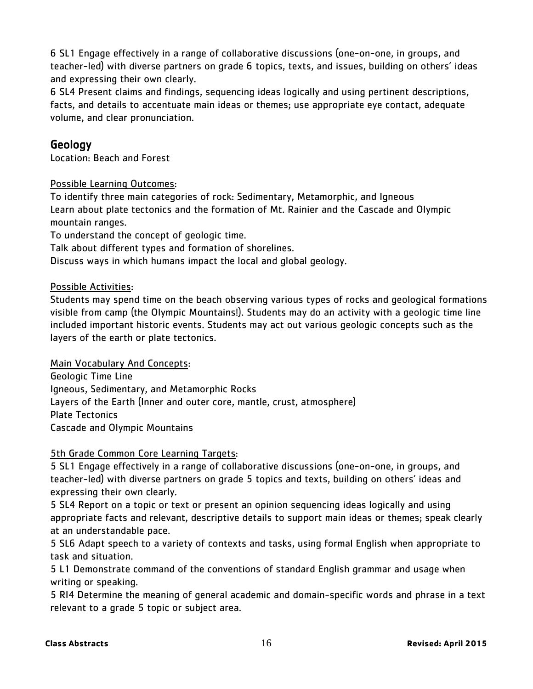6 SL1 Engage effectively in a range of collaborative discussions (one-on-one, in groups, and teacher-led) with diverse partners on grade 6 topics, texts, and issues, building on others' ideas and expressing their own clearly.

6 SL4 Present claims and findings, sequencing ideas logically and using pertinent descriptions, facts, and details to accentuate main ideas or themes; use appropriate eye contact, adequate volume, and clear pronunciation.

## Geology

Location: Beach and Forest

## Possible Learning Outcomes:

To identify three main categories of rock: Sedimentary, Metamorphic, and Igneous Learn about plate tectonics and the formation of Mt. Rainier and the Cascade and Olympic mountain ranges.

To understand the concept of geologic time.

Talk about different types and formation of shorelines.

Discuss ways in which humans impact the local and global geology.

## Possible Activities:

Students may spend time on the beach observing various types of rocks and geological formations visible from camp (the Olympic Mountains!). Students may do an activity with a geologic time line included important historic events. Students may act out various geologic concepts such as the layers of the earth or plate tectonics.

#### Main Vocabulary And Concepts:

Geologic Time Line Igneous, Sedimentary, and Metamorphic Rocks Layers of the Earth (Inner and outer core, mantle, crust, atmosphere) Plate Tectonics Cascade and Olympic Mountains

#### 5th Grade Common Core Learning Targets:

5 SL1 Engage effectively in a range of collaborative discussions (one-on-one, in groups, and teacher-led) with diverse partners on grade 5 topics and texts, building on others' ideas and expressing their own clearly.

5 SL4 Report on a topic or text or present an opinion sequencing ideas logically and using appropriate facts and relevant, descriptive details to support main ideas or themes; speak clearly at an understandable pace.

5 SL6 Adapt speech to a variety of contexts and tasks, using formal English when appropriate to task and situation.

5 L1 Demonstrate command of the conventions of standard English grammar and usage when writing or speaking.

5 RI4 Determine the meaning of general academic and domain-specific words and phrase in a text relevant to a grade 5 topic or subject area.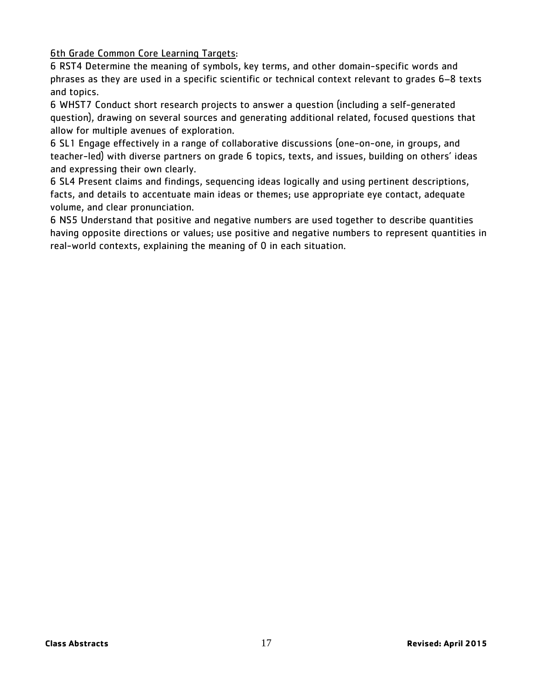6th Grade Common Core Learning Targets:

6 RST4 Determine the meaning of symbols, key terms, and other domain-specific words and phrases as they are used in a specific scientific or technical context relevant to grades 6–8 texts and topics.

6 WHST7 Conduct short research projects to answer a question (including a self-generated question), drawing on several sources and generating additional related, focused questions that allow for multiple avenues of exploration.

6 SL1 Engage effectively in a range of collaborative discussions (one-on-one, in groups, and teacher-led) with diverse partners on grade 6 topics, texts, and issues, building on others' ideas and expressing their own clearly.

6 SL4 Present claims and findings, sequencing ideas logically and using pertinent descriptions, facts, and details to accentuate main ideas or themes; use appropriate eye contact, adequate volume, and clear pronunciation.

6 NS5 Understand that positive and negative numbers are used together to describe quantities having opposite directions or values; use positive and negative numbers to represent quantities in real-world contexts, explaining the meaning of 0 in each situation.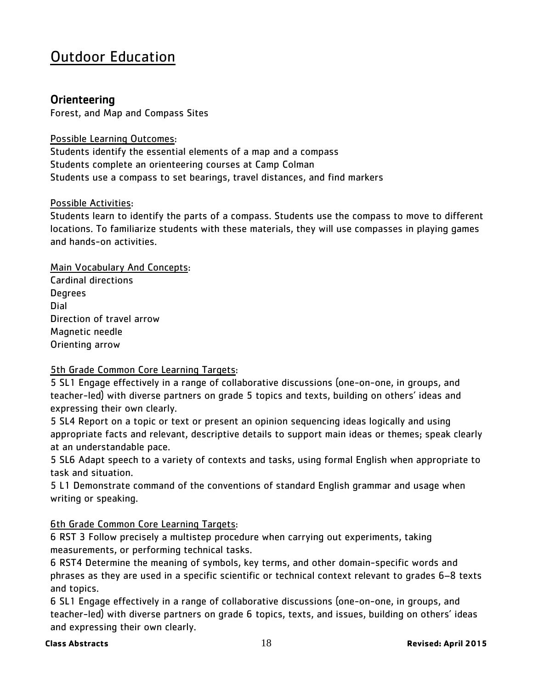# Outdoor Education

## Orienteering

Forest, and Map and Compass Sites

#### Possible Learning Outcomes:

Students identify the essential elements of a map and a compass Students complete an orienteering courses at Camp Colman Students use a compass to set bearings, travel distances, and find markers

#### Possible Activities:

Students learn to identify the parts of a compass. Students use the compass to move to different locations. To familiarize students with these materials, they will use compasses in playing games and hands-on activities.

Main Vocabulary And Concepts: Cardinal directions **Degrees** Dial Direction of travel arrow Magnetic needle Orienting arrow

#### 5th Grade Common Core Learning Targets:

5 SL1 Engage effectively in a range of collaborative discussions (one-on-one, in groups, and teacher-led) with diverse partners on grade 5 topics and texts, building on others' ideas and expressing their own clearly.

5 SL4 Report on a topic or text or present an opinion sequencing ideas logically and using appropriate facts and relevant, descriptive details to support main ideas or themes; speak clearly at an understandable pace.

5 SL6 Adapt speech to a variety of contexts and tasks, using formal English when appropriate to task and situation.

5 L1 Demonstrate command of the conventions of standard English grammar and usage when writing or speaking.

## 6th Grade Common Core Learning Targets:

6 RST 3 Follow precisely a multistep procedure when carrying out experiments, taking measurements, or performing technical tasks.

6 RST4 Determine the meaning of symbols, key terms, and other domain-specific words and phrases as they are used in a specific scientific or technical context relevant to grades 6–8 texts and topics.

6 SL1 Engage effectively in a range of collaborative discussions (one-on-one, in groups, and teacher-led) with diverse partners on grade 6 topics, texts, and issues, building on others' ideas and expressing their own clearly.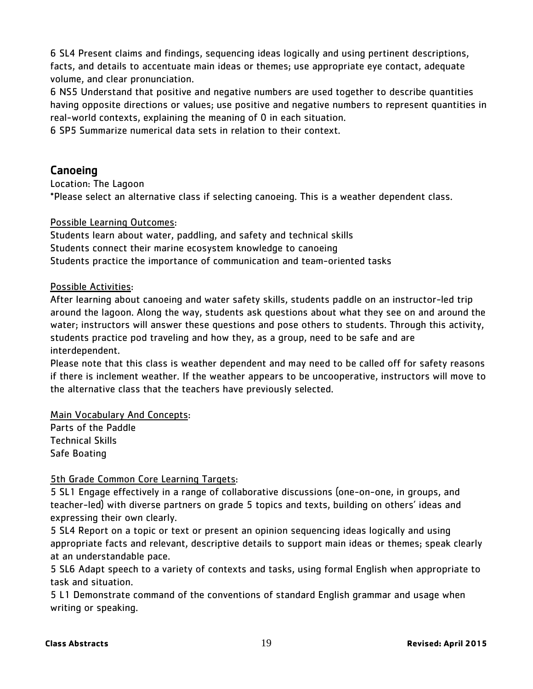6 SL4 Present claims and findings, sequencing ideas logically and using pertinent descriptions, facts, and details to accentuate main ideas or themes; use appropriate eye contact, adequate volume, and clear pronunciation.

6 NS5 Understand that positive and negative numbers are used together to describe quantities having opposite directions or values; use positive and negative numbers to represent quantities in real-world contexts, explaining the meaning of 0 in each situation.

6 SP5 Summarize numerical data sets in relation to their context.

## Canoeing

Location: The Lagoon \*Please select an alternative class if selecting canoeing. This is a weather dependent class.

## Possible Learning Outcomes:

Students learn about water, paddling, and safety and technical skills Students connect their marine ecosystem knowledge to canoeing Students practice the importance of communication and team-oriented tasks

## Possible Activities:

After learning about canoeing and water safety skills, students paddle on an instructor-led trip around the lagoon. Along the way, students ask questions about what they see on and around the water; instructors will answer these questions and pose others to students. Through this activity, students practice pod traveling and how they, as a group, need to be safe and are interdependent.

Please note that this class is weather dependent and may need to be called off for safety reasons if there is inclement weather. If the weather appears to be uncooperative, instructors will move to the alternative class that the teachers have previously selected.

#### Main Vocabulary And Concepts:

Parts of the Paddle Technical Skills Safe Boating

## 5th Grade Common Core Learning Targets:

5 SL1 Engage effectively in a range of collaborative discussions (one-on-one, in groups, and teacher-led) with diverse partners on grade 5 topics and texts, building on others' ideas and expressing their own clearly.

5 SL4 Report on a topic or text or present an opinion sequencing ideas logically and using appropriate facts and relevant, descriptive details to support main ideas or themes; speak clearly at an understandable pace.

5 SL6 Adapt speech to a variety of contexts and tasks, using formal English when appropriate to task and situation.

5 L1 Demonstrate command of the conventions of standard English grammar and usage when writing or speaking.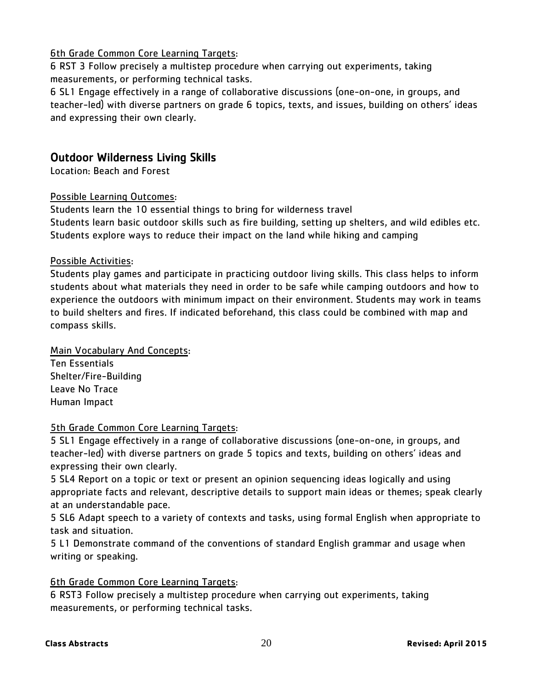## 6th Grade Common Core Learning Targets:

6 RST 3 Follow precisely a multistep procedure when carrying out experiments, taking measurements, or performing technical tasks.

6 SL1 Engage effectively in a range of collaborative discussions (one-on-one, in groups, and teacher-led) with diverse partners on grade 6 topics, texts, and issues, building on others' ideas and expressing their own clearly.

## Outdoor Wilderness Living Skills

Location: Beach and Forest

## Possible Learning Outcomes:

Students learn the 10 essential things to bring for wilderness travel Students learn basic outdoor skills such as fire building, setting up shelters, and wild edibles etc. Students explore ways to reduce their impact on the land while hiking and camping

## Possible Activities:

Students play games and participate in practicing outdoor living skills. This class helps to inform students about what materials they need in order to be safe while camping outdoors and how to experience the outdoors with minimum impact on their environment. Students may work in teams to build shelters and fires. If indicated beforehand, this class could be combined with map and compass skills.

## Main Vocabulary And Concepts:

Ten Essentials Shelter/Fire-Building Leave No Trace Human Impact

## 5th Grade Common Core Learning Targets:

5 SL1 Engage effectively in a range of collaborative discussions (one-on-one, in groups, and teacher-led) with diverse partners on grade 5 topics and texts, building on others' ideas and expressing their own clearly.

5 SL4 Report on a topic or text or present an opinion sequencing ideas logically and using appropriate facts and relevant, descriptive details to support main ideas or themes; speak clearly at an understandable pace.

5 SL6 Adapt speech to a variety of contexts and tasks, using formal English when appropriate to task and situation.

5 L1 Demonstrate command of the conventions of standard English grammar and usage when writing or speaking.

## 6th Grade Common Core Learning Targets:

6 RST3 Follow precisely a multistep procedure when carrying out experiments, taking measurements, or performing technical tasks.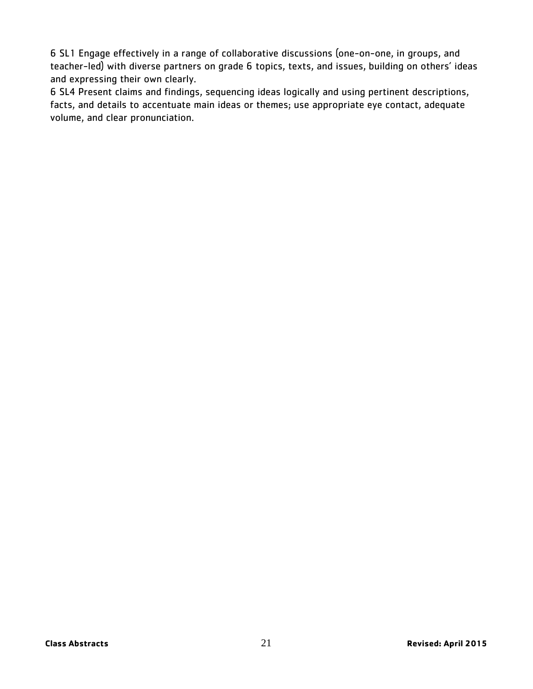6 SL1 Engage effectively in a range of collaborative discussions (one-on-one, in groups, and teacher-led) with diverse partners on grade 6 topics, texts, and issues, building on others' ideas and expressing their own clearly.

6 SL4 Present claims and findings, sequencing ideas logically and using pertinent descriptions, facts, and details to accentuate main ideas or themes; use appropriate eye contact, adequate volume, and clear pronunciation.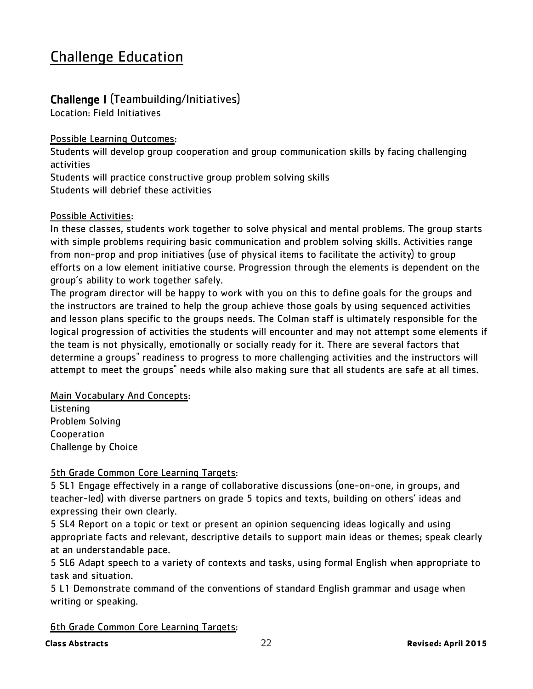# Challenge Education

## Challenge I (Teambuilding/Initiatives)

Location: Field Initiatives

## Possible Learning Outcomes:

Students will develop group cooperation and group communication skills by facing challenging activities

Students will practice constructive group problem solving skills Students will debrief these activities

## Possible Activities:

In these classes, students work together to solve physical and mental problems. The group starts with simple problems requiring basic communication and problem solving skills. Activities range from non-prop and prop initiatives (use of physical items to facilitate the activity) to group efforts on a low element initiative course. Progression through the elements is dependent on the group's ability to work together safely.

The program director will be happy to work with you on this to define goals for the groups and the instructors are trained to help the group achieve those goals by using sequenced activities and lesson plans specific to the groups needs. The Colman staff is ultimately responsible for the logical progression of activities the students will encounter and may not attempt some elements if the team is not physically, emotionally or socially ready for it. There are several factors that determine a groups" readiness to progress to more challenging activities and the instructors will attempt to meet the groups" needs while also making sure that all students are safe at all times.

#### Main Vocabulary And Concepts:

Listening Problem Solving Cooperation Challenge by Choice

## 5th Grade Common Core Learning Targets:

5 SL1 Engage effectively in a range of collaborative discussions (one-on-one, in groups, and teacher-led) with diverse partners on grade 5 topics and texts, building on others' ideas and expressing their own clearly.

5 SL4 Report on a topic or text or present an opinion sequencing ideas logically and using appropriate facts and relevant, descriptive details to support main ideas or themes; speak clearly at an understandable pace.

5 SL6 Adapt speech to a variety of contexts and tasks, using formal English when appropriate to task and situation.

5 L1 Demonstrate command of the conventions of standard English grammar and usage when writing or speaking.

6th Grade Common Core Learning Targets: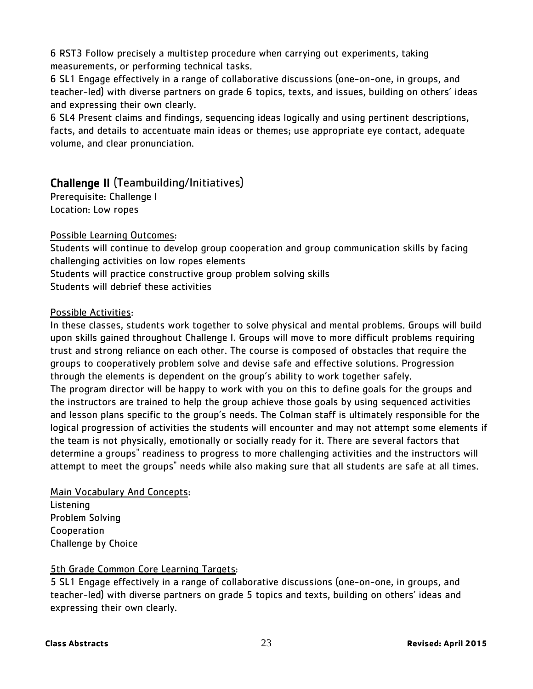6 RST3 Follow precisely a multistep procedure when carrying out experiments, taking measurements, or performing technical tasks.

6 SL1 Engage effectively in a range of collaborative discussions (one-on-one, in groups, and teacher-led) with diverse partners on grade 6 topics, texts, and issues, building on others' ideas and expressing their own clearly.

6 SL4 Present claims and findings, sequencing ideas logically and using pertinent descriptions, facts, and details to accentuate main ideas or themes; use appropriate eye contact, adequate volume, and clear pronunciation.

## Challenge II (Teambuilding/Initiatives)

Prerequisite: Challenge I Location: Low ropes

## Possible Learning Outcomes:

Students will continue to develop group cooperation and group communication skills by facing challenging activities on low ropes elements

Students will practice constructive group problem solving skills

Students will debrief these activities

#### Possible Activities:

In these classes, students work together to solve physical and mental problems. Groups will build upon skills gained throughout Challenge I. Groups will move to more difficult problems requiring trust and strong reliance on each other. The course is composed of obstacles that require the groups to cooperatively problem solve and devise safe and effective solutions. Progression through the elements is dependent on the group's ability to work together safely. The program director will be happy to work with you on this to define goals for the groups and the instructors are trained to help the group achieve those goals by using sequenced activities and lesson plans specific to the group's needs. The Colman staff is ultimately responsible for the logical progression of activities the students will encounter and may not attempt some elements if the team is not physically, emotionally or socially ready for it. There are several factors that determine a groups" readiness to progress to more challenging activities and the instructors will attempt to meet the groups" needs while also making sure that all students are safe at all times.

#### Main Vocabulary And Concepts:

Listening Problem Solving Cooperation Challenge by Choice

## 5th Grade Common Core Learning Targets:

5 SL1 Engage effectively in a range of collaborative discussions (one-on-one, in groups, and teacher-led) with diverse partners on grade 5 topics and texts, building on others' ideas and expressing their own clearly.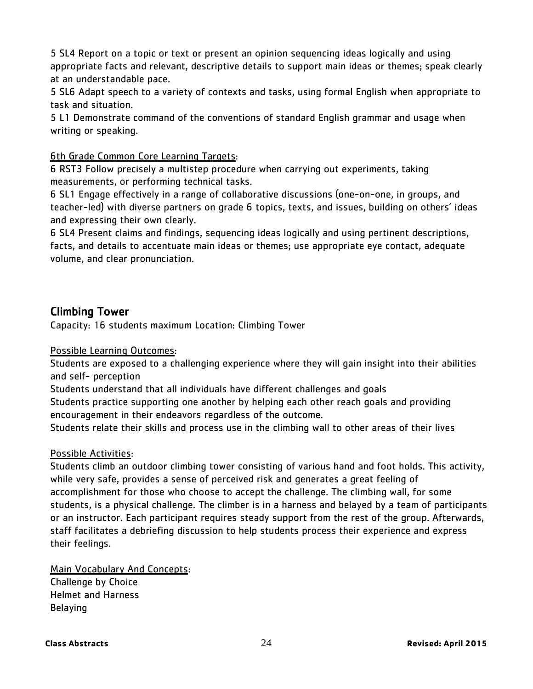5 SL4 Report on a topic or text or present an opinion sequencing ideas logically and using appropriate facts and relevant, descriptive details to support main ideas or themes; speak clearly at an understandable pace.

5 SL6 Adapt speech to a variety of contexts and tasks, using formal English when appropriate to task and situation.

5 L1 Demonstrate command of the conventions of standard English grammar and usage when writing or speaking.

## 6th Grade Common Core Learning Targets:

6 RST3 Follow precisely a multistep procedure when carrying out experiments, taking measurements, or performing technical tasks.

6 SL1 Engage effectively in a range of collaborative discussions (one-on-one, in groups, and teacher-led) with diverse partners on grade 6 topics, texts, and issues, building on others' ideas and expressing their own clearly.

6 SL4 Present claims and findings, sequencing ideas logically and using pertinent descriptions, facts, and details to accentuate main ideas or themes; use appropriate eye contact, adequate volume, and clear pronunciation.

## Climbing Tower

Capacity: 16 students maximum Location: Climbing Tower

Possible Learning Outcomes:

Students are exposed to a challenging experience where they will gain insight into their abilities and self- perception

Students understand that all individuals have different challenges and goals

Students practice supporting one another by helping each other reach goals and providing encouragement in their endeavors regardless of the outcome.

Students relate their skills and process use in the climbing wall to other areas of their lives

## Possible Activities:

Students climb an outdoor climbing tower consisting of various hand and foot holds. This activity, while very safe, provides a sense of perceived risk and generates a great feeling of accomplishment for those who choose to accept the challenge. The climbing wall, for some students, is a physical challenge. The climber is in a harness and belayed by a team of participants or an instructor. Each participant requires steady support from the rest of the group. Afterwards, staff facilitates a debriefing discussion to help students process their experience and express their feelings.

Main Vocabulary And Concepts:

Challenge by Choice Helmet and Harness Belaying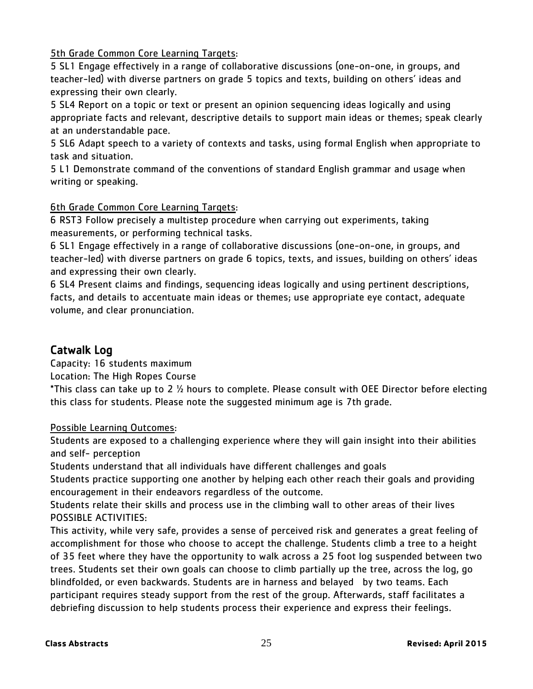5th Grade Common Core Learning Targets:

5 SL1 Engage effectively in a range of collaborative discussions (one-on-one, in groups, and teacher-led) with diverse partners on grade 5 topics and texts, building on others' ideas and expressing their own clearly.

5 SL4 Report on a topic or text or present an opinion sequencing ideas logically and using appropriate facts and relevant, descriptive details to support main ideas or themes; speak clearly at an understandable pace.

5 SL6 Adapt speech to a variety of contexts and tasks, using formal English when appropriate to task and situation.

5 L1 Demonstrate command of the conventions of standard English grammar and usage when writing or speaking.

## 6th Grade Common Core Learning Targets:

6 RST3 Follow precisely a multistep procedure when carrying out experiments, taking measurements, or performing technical tasks.

6 SL1 Engage effectively in a range of collaborative discussions (one-on-one, in groups, and teacher-led) with diverse partners on grade 6 topics, texts, and issues, building on others' ideas and expressing their own clearly.

6 SL4 Present claims and findings, sequencing ideas logically and using pertinent descriptions, facts, and details to accentuate main ideas or themes; use appropriate eye contact, adequate volume, and clear pronunciation.

## Catwalk Log

Capacity: 16 students maximum

Location: The High Ropes Course

\*This class can take up to 2 ½ hours to complete. Please consult with OEE Director before electing this class for students. Please note the suggested minimum age is 7th grade.

## Possible Learning Outcomes:

Students are exposed to a challenging experience where they will gain insight into their abilities and self- perception

Students understand that all individuals have different challenges and goals

Students practice supporting one another by helping each other reach their goals and providing encouragement in their endeavors regardless of the outcome.

Students relate their skills and process use in the climbing wall to other areas of their lives POSSIBLE ACTIVITIES:

This activity, while very safe, provides a sense of perceived risk and generates a great feeling of accomplishment for those who choose to accept the challenge. Students climb a tree to a height of 35 feet where they have the opportunity to walk across a 25 foot log suspended between two trees. Students set their own goals can choose to climb partially up the tree, across the log, go blindfolded, or even backwards. Students are in harness and belayed by two teams. Each participant requires steady support from the rest of the group. Afterwards, staff facilitates a debriefing discussion to help students process their experience and express their feelings.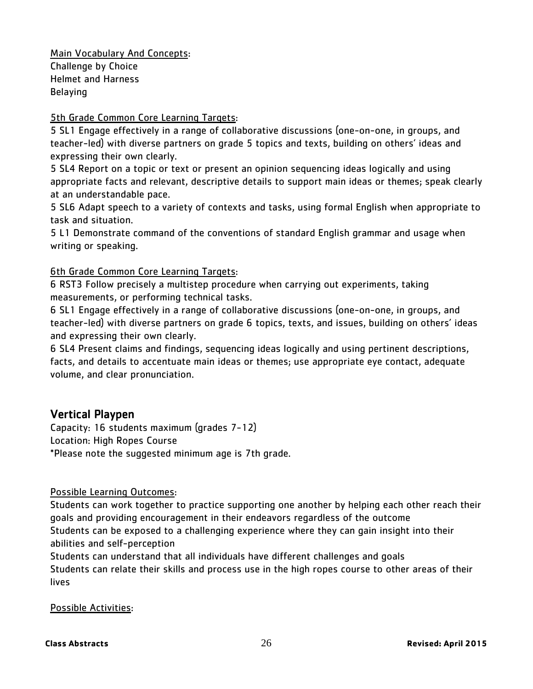Main Vocabulary And Concepts: Challenge by Choice Helmet and Harness Belaying

5th Grade Common Core Learning Targets:

5 SL1 Engage effectively in a range of collaborative discussions (one-on-one, in groups, and teacher-led) with diverse partners on grade 5 topics and texts, building on others' ideas and expressing their own clearly.

5 SL4 Report on a topic or text or present an opinion sequencing ideas logically and using appropriate facts and relevant, descriptive details to support main ideas or themes; speak clearly at an understandable pace.

5 SL6 Adapt speech to a variety of contexts and tasks, using formal English when appropriate to task and situation.

5 L1 Demonstrate command of the conventions of standard English grammar and usage when writing or speaking.

## 6th Grade Common Core Learning Targets:

6 RST3 Follow precisely a multistep procedure when carrying out experiments, taking measurements, or performing technical tasks.

6 SL1 Engage effectively in a range of collaborative discussions (one-on-one, in groups, and teacher-led) with diverse partners on grade 6 topics, texts, and issues, building on others' ideas and expressing their own clearly.

6 SL4 Present claims and findings, sequencing ideas logically and using pertinent descriptions, facts, and details to accentuate main ideas or themes; use appropriate eye contact, adequate volume, and clear pronunciation.

## Vertical Playpen

Capacity: 16 students maximum (grades 7-12) Location: High Ropes Course \*Please note the suggested minimum age is 7th grade.

## Possible Learning Outcomes:

Students can work together to practice supporting one another by helping each other reach their goals and providing encouragement in their endeavors regardless of the outcome Students can be exposed to a challenging experience where they can gain insight into their abilities and self-perception

Students can understand that all individuals have different challenges and goals Students can relate their skills and process use in the high ropes course to other areas of their lives

Possible Activities: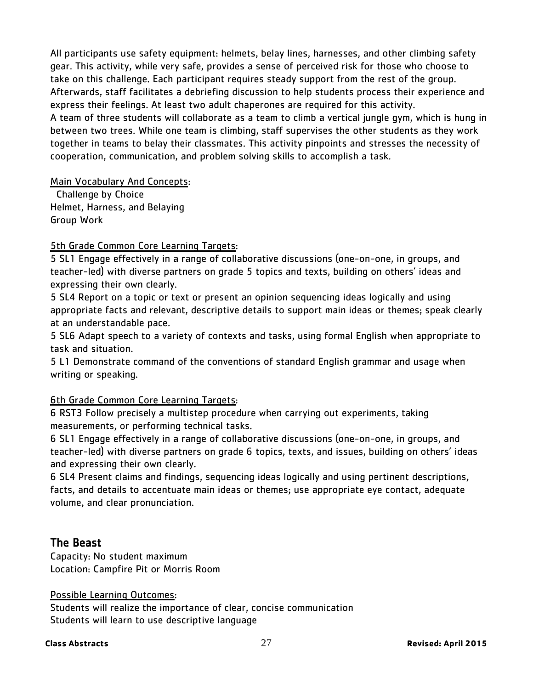All participants use safety equipment: helmets, belay lines, harnesses, and other climbing safety gear. This activity, while very safe, provides a sense of perceived risk for those who choose to take on this challenge. Each participant requires steady support from the rest of the group. Afterwards, staff facilitates a debriefing discussion to help students process their experience and express their feelings. At least two adult chaperones are required for this activity. A team of three students will collaborate as a team to climb a vertical jungle gym, which is hung in between two trees. While one team is climbing, staff supervises the other students as they work together in teams to belay their classmates. This activity pinpoints and stresses the necessity of cooperation, communication, and problem solving skills to accomplish a task.

## Main Vocabulary And Concepts:

 Challenge by Choice Helmet, Harness, and Belaying Group Work

## 5th Grade Common Core Learning Targets:

5 SL1 Engage effectively in a range of collaborative discussions (one-on-one, in groups, and teacher-led) with diverse partners on grade 5 topics and texts, building on others' ideas and expressing their own clearly.

5 SL4 Report on a topic or text or present an opinion sequencing ideas logically and using appropriate facts and relevant, descriptive details to support main ideas or themes; speak clearly at an understandable pace.

5 SL6 Adapt speech to a variety of contexts and tasks, using formal English when appropriate to task and situation.

5 L1 Demonstrate command of the conventions of standard English grammar and usage when writing or speaking.

## 6th Grade Common Core Learning Targets:

6 RST3 Follow precisely a multistep procedure when carrying out experiments, taking measurements, or performing technical tasks.

6 SL1 Engage effectively in a range of collaborative discussions (one-on-one, in groups, and teacher-led) with diverse partners on grade 6 topics, texts, and issues, building on others' ideas and expressing their own clearly.

6 SL4 Present claims and findings, sequencing ideas logically and using pertinent descriptions, facts, and details to accentuate main ideas or themes; use appropriate eye contact, adequate volume, and clear pronunciation.

## The Beast

Capacity: No student maximum Location: Campfire Pit or Morris Room

Possible Learning Outcomes:

Students will realize the importance of clear, concise communication Students will learn to use descriptive language